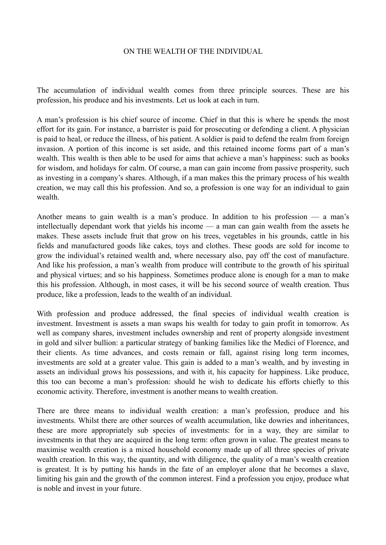## ON THE WEALTH OF THE INDIVIDUAL

The accumulation of individual wealth comes from three principle sources. These are his profession, his produce and his investments. Let us look at each in turn.

A man's profession is his chief source of income. Chief in that this is where he spends the most effort for its gain. For instance, a barrister is paid for prosecuting or defending a client. A physician is paid to heal, or reduce the illness, of his patient. A soldier is paid to defend the realm from foreign invasion. A portion of this income is set aside, and this retained income forms part of a man's wealth. This wealth is then able to be used for aims that achieve a man's happiness: such as books for wisdom, and holidays for calm. Of course, a man can gain income from passive prosperity, such as investing in a company's shares. Although, if a man makes this the primary process of his wealth creation, we may call this his profession. And so, a profession is one way for an individual to gain wealth.

Another means to gain wealth is a man's produce. In addition to his profession — a man's intellectually dependant work that yields his income — a man can gain wealth from the assets he makes. These assets include fruit that grow on his trees, vegetables in his grounds, cattle in his fields and manufactured goods like cakes, toys and clothes. These goods are sold for income to grow the individual's retained wealth and, where necessary also, pay off the cost of manufacture. And like his profession, a man's wealth from produce will contribute to the growth of his spiritual and physical virtues; and so his happiness. Sometimes produce alone is enough for a man to make this his profession. Although, in most cases, it will be his second source of wealth creation. Thus produce, like a profession, leads to the wealth of an individual.

With profession and produce addressed, the final species of individual wealth creation is investment. Investment is assets a man swaps his wealth for today to gain profit in tomorrow. As well as company shares, investment includes ownership and rent of property alongside investment in gold and silver bullion: a particular strategy of banking families like the Medici of Florence, and their clients. As time advances, and costs remain or fall, against rising long term incomes, investments are sold at a greater value. This gain is added to a man's wealth, and by investing in assets an individual grows his possessions, and with it, his capacity for happiness. Like produce, this too can become a man's profession: should he wish to dedicate his efforts chiefly to this economic activity. Therefore, investment is another means to wealth creation.

There are three means to individual wealth creation: a man's profession, produce and his investments. Whilst there are other sources of wealth accumulation, like dowries and inheritances, these are more appropriately sub species of investments: for in a way, they are similar to investments in that they are acquired in the long term: often grown in value. The greatest means to maximise wealth creation is a mixed household economy made up of all three species of private wealth creation. In this way, the quantity, and with diligence, the quality of a man's wealth creation is greatest. It is by putting his hands in the fate of an employer alone that he becomes a slave, limiting his gain and the growth of the common interest. Find a profession you enjoy, produce what is noble and invest in your future.